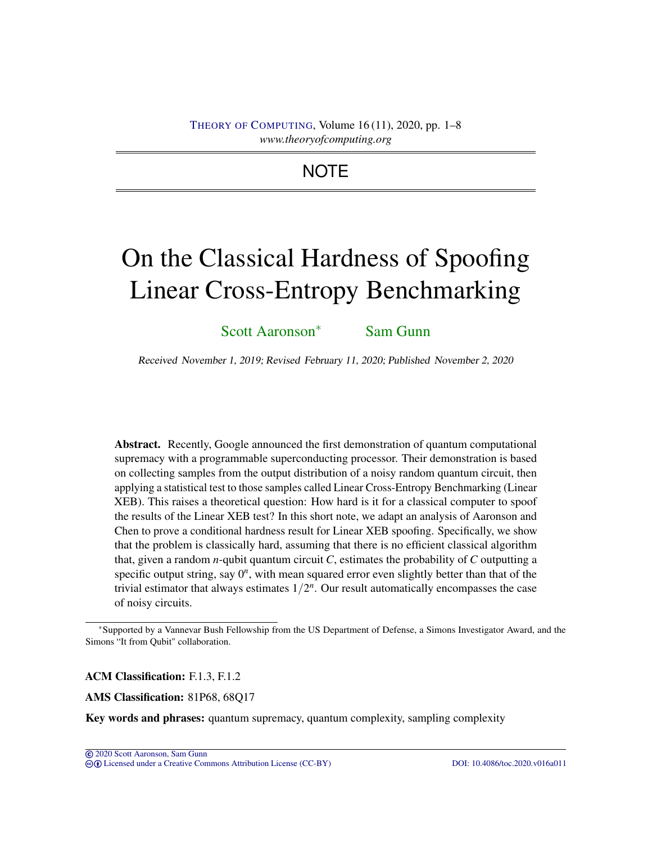## THEORY OF C[OMPUTING](http://dx.doi.org/10.4086/toc), Volume 16 (11), 2020, pp. 1–8 *www.theoryofcomputing.org*

## **NOTE**

# On the Classical Hardness of Spoofing Linear Cross-Entropy Benchmarking

[Scott Aaronson](#page-6-0)<sup>∗</sup> [Sam Gunn](#page-6-1)

Received November 1, 2019; Revised February 11, 2020; Published November 2, 2020

Abstract. Recently, Google announced the first demonstration of quantum computational supremacy with a programmable superconducting processor. Their demonstration is based on collecting samples from the output distribution of a noisy random quantum circuit, then applying a statistical test to those samples called Linear Cross-Entropy Benchmarking (Linear XEB). This raises a theoretical question: How hard is it for a classical computer to spoof the results of the Linear XEB test? In this short note, we adapt an analysis of Aaronson and Chen to prove a conditional hardness result for Linear XEB spoofing. Specifically, we show that the problem is classically hard, assuming that there is no efficient classical algorithm that, given a random *n*-qubit quantum circuit *C*, estimates the probability of *C* outputting a specific output string, say  $0<sup>n</sup>$ , with mean squared error even slightly better than that of the trivial estimator that always estimates  $1/2^n$ . Our result automatically encompasses the case of noisy circuits.

ACM Classification: F.1.3, F.1.2

AMS Classification: 81P68, 68Q17

Key words and phrases: quantum supremacy, quantum complexity, sampling complexity

<sup>∗</sup>Supported by a Vannevar Bush Fellowship from the US Department of Defense, a Simons Investigator Award, and the Simons "It from Qubit" collaboration.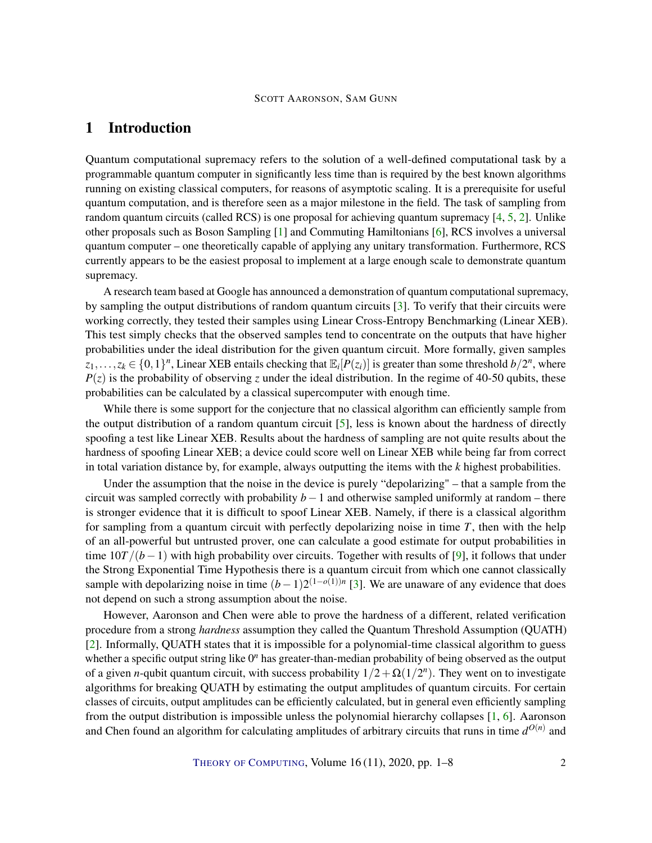## <span id="page-1-0"></span>1 Introduction

Quantum computational supremacy refers to the solution of a well-defined computational task by a programmable quantum computer in significantly less time than is required by the best known algorithms running on existing classical computers, for reasons of asymptotic scaling. It is a prerequisite for useful quantum computation, and is therefore seen as a major milestone in the field. The task of sampling from random quantum circuits (called RCS) is one proposal for achieving quantum supremacy [\[4,](#page-5-0) [5,](#page-6-2) [2\]](#page-5-1). Unlike other proposals such as Boson Sampling [\[1\]](#page-5-2) and Commuting Hamiltonians [\[6\]](#page-6-3), RCS involves a universal quantum computer – one theoretically capable of applying any unitary transformation. Furthermore, RCS currently appears to be the easiest proposal to implement at a large enough scale to demonstrate quantum supremacy.

A research team based at Google has announced a demonstration of quantum computational supremacy, by sampling the output distributions of random quantum circuits [\[3\]](#page-5-3). To verify that their circuits were working correctly, they tested their samples using Linear Cross-Entropy Benchmarking (Linear XEB). This test simply checks that the observed samples tend to concentrate on the outputs that have higher probabilities under the ideal distribution for the given quantum circuit. More formally, given samples  $z_1, \ldots, z_k \in \{0, 1\}^n$ , Linear XEB entails checking that  $\mathbb{E}_i[P(z_i)]$  is greater than some threshold  $b/2^n$ , where  $P(z)$  is the probability of observing *z* under the ideal distribution. In the regime of 40-50 qubits, these probabilities can be calculated by a classical supercomputer with enough time.

While there is some support for the conjecture that no classical algorithm can efficiently sample from the output distribution of a random quantum circuit [\[5\]](#page-6-2), less is known about the hardness of directly spoofing a test like Linear XEB. Results about the hardness of sampling are not quite results about the hardness of spoofing Linear XEB; a device could score well on Linear XEB while being far from correct in total variation distance by, for example, always outputting the items with the *k* highest probabilities.

Under the assumption that the noise in the device is purely "depolarizing" – that a sample from the circuit was sampled correctly with probability *b*−1 and otherwise sampled uniformly at random – there is stronger evidence that it is difficult to spoof Linear XEB. Namely, if there is a classical algorithm for sampling from a quantum circuit with perfectly depolarizing noise in time *T*, then with the help of an all-powerful but untrusted prover, one can calculate a good estimate for output probabilities in time  $10T/(b-1)$  with high probability over circuits. Together with results of [\[9\]](#page-6-4), it follows that under the Strong Exponential Time Hypothesis there is a quantum circuit from which one cannot classically sample with depolarizing noise in time  $(b-1)2^{(1-o(1))n}$  [\[3\]](#page-5-3). We are unaware of any evidence that does not depend on such a strong assumption about the noise.

However, Aaronson and Chen were able to prove the hardness of a different, related verification procedure from a strong *hardness* assumption they called the Quantum Threshold Assumption (QUATH) [\[2\]](#page-5-1). Informally, QUATH states that it is impossible for a polynomial-time classical algorithm to guess whether a specific output string like  $0<sup>n</sup>$  has greater-than-median probability of being observed as the output of a given *n*-qubit quantum circuit, with success probability  $1/2 + \Omega(1/2^n)$ . They went on to investigate algorithms for breaking QUATH by estimating the output amplitudes of quantum circuits. For certain classes of circuits, output amplitudes can be efficiently calculated, but in general even efficiently sampling from the output distribution is impossible unless the polynomial hierarchy collapses [\[1,](#page-5-2) [6\]](#page-6-3). Aaronson and Chen found an algorithm for calculating amplitudes of arbitrary circuits that runs in time  $d^{O(n)}$  and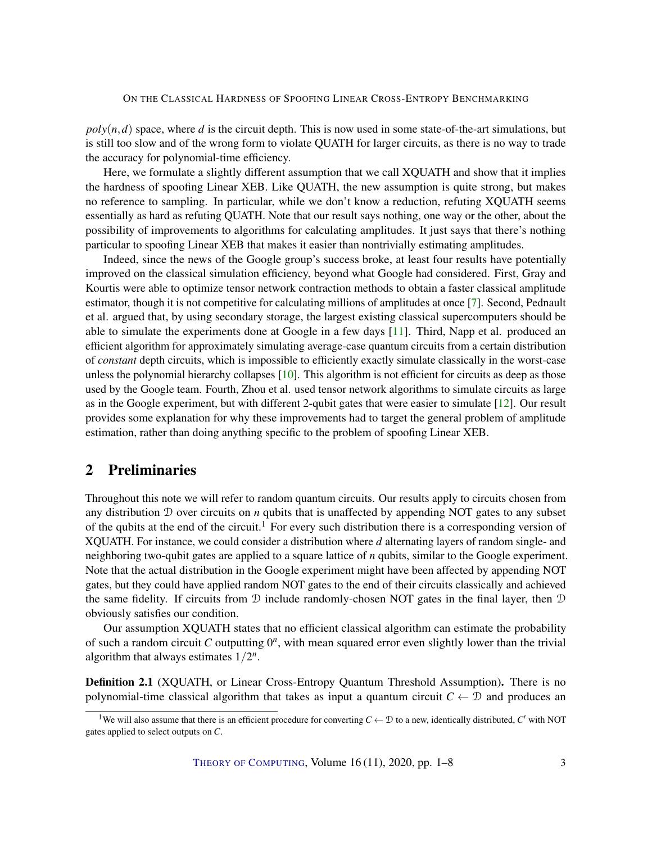#### <span id="page-2-0"></span>ON THE CLASSICAL HARDNESS OF SPOOFING LINEAR CROSS-ENTROPY BENCHMARKING

 $poly(n, d)$  space, where *d* is the circuit depth. This is now used in some state-of-the-art simulations, but is still too slow and of the wrong form to violate QUATH for larger circuits, as there is no way to trade the accuracy for polynomial-time efficiency.

Here, we formulate a slightly different assumption that we call XQUATH and show that it implies the hardness of spoofing Linear XEB. Like QUATH, the new assumption is quite strong, but makes no reference to sampling. In particular, while we don't know a reduction, refuting XQUATH seems essentially as hard as refuting QUATH. Note that our result says nothing, one way or the other, about the possibility of improvements to algorithms for calculating amplitudes. It just says that there's nothing particular to spoofing Linear XEB that makes it easier than nontrivially estimating amplitudes.

Indeed, since the news of the Google group's success broke, at least four results have potentially improved on the classical simulation efficiency, beyond what Google had considered. First, Gray and Kourtis were able to optimize tensor network contraction methods to obtain a faster classical amplitude estimator, though it is not competitive for calculating millions of amplitudes at once [\[7\]](#page-6-5). Second, Pednault et al. argued that, by using secondary storage, the largest existing classical supercomputers should be able to simulate the experiments done at Google in a few days [\[11\]](#page-6-6). Third, Napp et al. produced an efficient algorithm for approximately simulating average-case quantum circuits from a certain distribution of *constant* depth circuits, which is impossible to efficiently exactly simulate classically in the worst-case unless the polynomial hierarchy collapses [\[10\]](#page-6-7). This algorithm is not efficient for circuits as deep as those used by the Google team. Fourth, Zhou et al. used tensor network algorithms to simulate circuits as large as in the Google experiment, but with different 2-qubit gates that were easier to simulate [\[12\]](#page-6-8). Our result provides some explanation for why these improvements had to target the general problem of amplitude estimation, rather than doing anything specific to the problem of spoofing Linear XEB.

## 2 Preliminaries

Throughout this note we will refer to random quantum circuits. Our results apply to circuits chosen from any distribution D over circuits on *n* qubits that is unaffected by appending NOT gates to any subset of the qubits at the end of the circuit.<sup>1</sup> For every such distribution there is a corresponding version of XQUATH. For instance, we could consider a distribution where *d* alternating layers of random single- and neighboring two-qubit gates are applied to a square lattice of *n* qubits, similar to the Google experiment. Note that the actual distribution in the Google experiment might have been affected by appending NOT gates, but they could have applied random NOT gates to the end of their circuits classically and achieved the same fidelity. If circuits from  $D$  include randomly-chosen NOT gates in the final layer, then  $D$ obviously satisfies our condition.

Our assumption XQUATH states that no efficient classical algorithm can estimate the probability of such a random circuit  $C$  outputting  $0<sup>n</sup>$ , with mean squared error even slightly lower than the trivial algorithm that always estimates  $1/2^n$ .

Definition 2.1 (XQUATH, or Linear Cross-Entropy Quantum Threshold Assumption). There is no polynomial-time classical algorithm that takes as input a quantum circuit  $C \leftarrow \mathcal{D}$  and produces an

THEORY OF C[OMPUTING](http://dx.doi.org/10.4086/toc), Volume 16 (11), 2020, pp. 1–8 3

<sup>&</sup>lt;sup>1</sup>We will also assume that there is an efficient procedure for converting  $C \leftarrow \mathcal{D}$  to a new, identically distributed,  $C'$  with NOT gates applied to select outputs on *C*.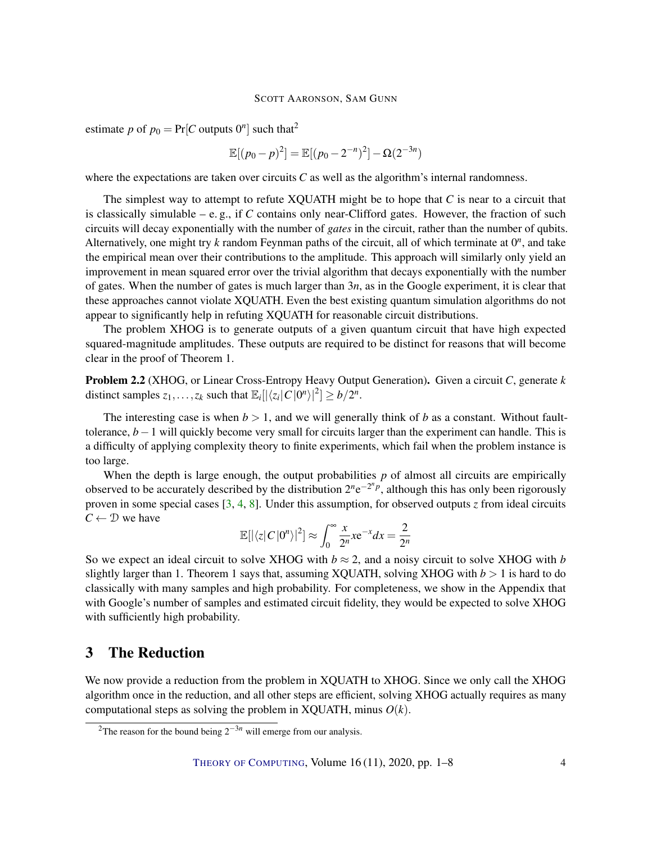#### SCOTT AARONSON, SAM GUNN

<span id="page-3-0"></span>estimate *p* of  $p_0 = Pr[C$  outputs  $0^n]$  such that<sup>2</sup>

$$
\mathbb{E}[(p_0 - p)^2] = \mathbb{E}[(p_0 - 2^{-n})^2] - \Omega(2^{-3n})
$$

where the expectations are taken over circuits *C* as well as the algorithm's internal randomness.

The simplest way to attempt to refute XQUATH might be to hope that *C* is near to a circuit that is classically simulable  $-$  e.g., if  $C$  contains only near-Clifford gates. However, the fraction of such circuits will decay exponentially with the number of *gates* in the circuit, rather than the number of qubits. Alternatively, one might try  $k$  random Feynman paths of the circuit, all of which terminate at  $0<sup>n</sup>$ , and take the empirical mean over their contributions to the amplitude. This approach will similarly only yield an improvement in mean squared error over the trivial algorithm that decays exponentially with the number of gates. When the number of gates is much larger than 3*n*, as in the Google experiment, it is clear that these approaches cannot violate XQUATH. Even the best existing quantum simulation algorithms do not appear to significantly help in refuting XQUATH for reasonable circuit distributions.

The problem XHOG is to generate outputs of a given quantum circuit that have high expected squared-magnitude amplitudes. These outputs are required to be distinct for reasons that will become clear in the proof of Theorem 1.

Problem 2.2 (XHOG, or Linear Cross-Entropy Heavy Output Generation). Given a circuit *C*, generate *k* distinct samples  $z_1, \ldots, z_k$  such that  $\mathbb{E}_i[|\langle z_i | C | 0^n \rangle|^2] \geq b/2^n$ .

The interesting case is when  $b > 1$ , and we will generally think of *b* as a constant. Without faulttolerance, *b*−1 will quickly become very small for circuits larger than the experiment can handle. This is a difficulty of applying complexity theory to finite experiments, which fail when the problem instance is too large.

When the depth is large enough, the output probabilities  $p$  of almost all circuits are empirically observed to be accurately described by the distribution  $2^n e^{-2^n p}$ , although this has only been rigorously proven in some special cases [\[3,](#page-5-3) [4,](#page-5-0) [8\]](#page-6-9). Under this assumption, for observed outputs *z* from ideal circuits  $C \leftarrow \mathcal{D}$  we have

$$
\mathbb{E}[|\langle z|C|0^n\rangle|^2] \approx \int_0^\infty \frac{x}{2^n} x e^{-x} dx = \frac{2}{2^n}
$$

So we expect an ideal circuit to solve XHOG with  $b \approx 2$ , and a noisy circuit to solve XHOG with *b* slightly larger than 1. Theorem 1 says that, assuming XQUATH, solving XHOG with  $b > 1$  is hard to do classically with many samples and high probability. For completeness, we show in the Appendix that with Google's number of samples and estimated circuit fidelity, they would be expected to solve XHOG with sufficiently high probability.

## 3 The Reduction

We now provide a reduction from the problem in XQUATH to XHOG. Since we only call the XHOG algorithm once in the reduction, and all other steps are efficient, solving XHOG actually requires as many computational steps as solving the problem in XOUATH, minus  $O(k)$ .

<sup>&</sup>lt;sup>2</sup>The reason for the bound being  $2^{-3n}$  will emerge from our analysis.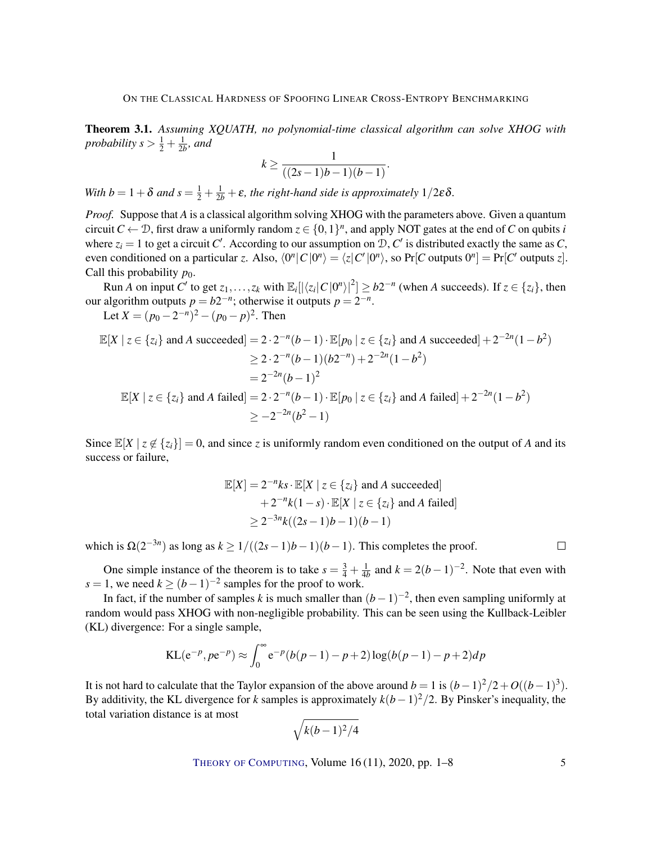Theorem 3.1. *Assuming XQUATH, no polynomial-time classical algorithm can solve XHOG with probability*  $s > \frac{1}{2} + \frac{1}{2b}$ *, and* 

$$
k \ge \frac{1}{((2s-1)b-1)(b-1)}.
$$

*With b* =  $1 + \delta$  *and*  $s = \frac{1}{2} + \frac{1}{2b} + \epsilon$ *, the right-hand side is approximately*  $1/2\epsilon\delta$ *.* 

*Proof.* Suppose that *A* is a classical algorithm solving XHOG with the parameters above. Given a quantum circuit  $C \leftarrow D$ , first draw a uniformly random  $z \in \{0,1\}^n$ , and apply NOT gates at the end of *C* on qubits *i* where  $z_i = 1$  to get a circuit *C'*. According to our assumption on  $D$ , *C'* is distributed exactly the same as *C*, even conditioned on a particular *z*. Also,  $\langle 0^n | C | 0^n \rangle = \langle z | C' | 0^n \rangle$ , so  $Pr[C$  outputs  $0^n] = Pr[C'$  outputs *z*]. Call this probability  $p_0$ .

Run *A* on input *C*<sup> $\prime$ </sup> to get  $z_1, \ldots, z_k$  with  $\mathbb{E}_i[|\langle z_i | C | 0^n \rangle|^2] \geq b2^{-n}$  (when *A* succeeds). If  $z \in \{z_i\}$ , then our algorithm outputs  $p = b2^{-n}$ ; otherwise it outputs  $p = 2^{-n}$ .

Let  $X = (p_0 - 2^{-n})^2 - (p_0 - p)^2$ . Then

$$
\mathbb{E}[X \mid z \in \{z_i\} \text{ and } A \text{ succeeded}] = 2 \cdot 2^{-n} (b-1) \cdot \mathbb{E}[p_0 \mid z \in \{z_i\} \text{ and } A \text{ succeeded}] + 2^{-2n} (1 - b^2)
$$
  
\n
$$
\geq 2 \cdot 2^{-n} (b-1) (b2^{-n}) + 2^{-2n} (1 - b^2)
$$
  
\n
$$
= 2^{-2n} (b-1)^2
$$
  
\n
$$
\mathbb{E}[X \mid z \in \{z_i\} \text{ and } A \text{ failed}] = 2 \cdot 2^{-n} (b-1) \cdot \mathbb{E}[p_0 \mid z \in \{z_i\} \text{ and } A \text{ failed}] + 2^{-2n} (1 - b^2)
$$
  
\n
$$
\geq -2^{-2n} (b^2 - 1)
$$

Since  $\mathbb{E}[X \mid z \notin \{z_i\}] = 0$ , and since *z* is uniformly random even conditioned on the output of *A* and its success or failure,

$$
\mathbb{E}[X] = 2^{-n}ks \cdot \mathbb{E}[X \mid z \in \{z_i\} \text{ and } A \text{ succeeded}]
$$
  
+2^{-n}k(1-s) \cdot \mathbb{E}[X \mid z \in \{z\_i\} \text{ and } A \text{ failed}]  

$$
\geq 2^{-3n}k((2s-1)b-1)(b-1)
$$

which is  $\Omega(2^{-3n})$  as long as  $k \geq 1/((2s-1)b-1)(b-1)$ . This completes the proof.

One simple instance of the theorem is to take  $s = \frac{3}{4} + \frac{1}{4b}$  and  $k = 2(b-1)^{-2}$ . Note that even with  $s = 1$ , we need  $k \ge (b-1)^{-2}$  samples for the proof to work.

In fact, if the number of samples *k* is much smaller than  $(b-1)^{-2}$ , then even sampling uniformly at random would pass XHOG with non-negligible probability. This can be seen using the Kullback-Leibler (KL) divergence: For a single sample,

$$
KL(e^{-p}, pe^{-p}) \approx \int_0^{\infty} e^{-p} (b(p-1) - p + 2) \log(b(p-1) - p + 2) dp
$$

It is not hard to calculate that the Taylor expansion of the above around  $b = 1$  is  $(b-1)^2/2 + O((b-1)^3)$ . By additivity, the KL divergence for *k* samples is approximately  $k(b-1)^2/2$ . By Pinsker's inequality, the total variation distance is at most

$$
\sqrt{k(b-1)^2/4}
$$

THEORY OF C[OMPUTING](http://dx.doi.org/10.4086/toc), Volume  $16(11)$ , 2020, pp.  $1-8$  5

 $\Box$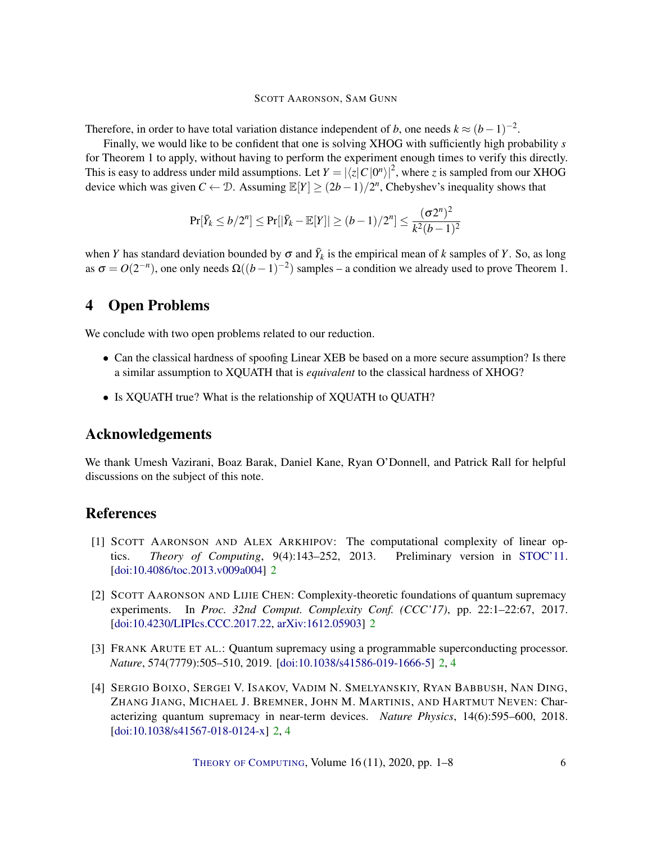#### SCOTT AARONSON, SAM GUNN

Therefore, in order to have total variation distance independent of *b*, one needs  $k \approx (b-1)^{-2}$ .

Finally, we would like to be confident that one is solving XHOG with sufficiently high probability *s* for Theorem 1 to apply, without having to perform the experiment enough times to verify this directly. This is easy to address under mild assumptions. Let  $Y = |\langle z| C |0^n \rangle|^2$ , where *z* is sampled from our XHOG device which was given  $C \leftarrow D$ . Assuming  $\mathbb{E}[Y] \ge (2b-1)/2^n$ , Chebyshev's inequality shows that

$$
\Pr[\bar{Y}_k \le b/2^n] \le \Pr[|\bar{Y}_k - \mathbb{E}[Y]| \ge (b-1)/2^n] \le \frac{(\sigma 2^n)^2}{k^2(b-1)^2}
$$

when *Y* has standard deviation bounded by  $\sigma$  and  $\bar{Y}_k$  is the empirical mean of *k* samples of *Y*. So, as long as  $\sigma = O(2^{-n})$ , one only needs  $\Omega((b-1)^{-2})$  samples – a condition we already used to prove Theorem 1.

## 4 Open Problems

We conclude with two open problems related to our reduction.

- Can the classical hardness of spoofing Linear XEB be based on a more secure assumption? Is there a similar assumption to XQUATH that is *equivalent* to the classical hardness of XHOG?
- Is XQUATH true? What is the relationship of XQUATH to QUATH?

## Acknowledgements

We thank Umesh Vazirani, Boaz Barak, Daniel Kane, Ryan O'Donnell, and Patrick Rall for helpful discussions on the subject of this note.

## References

- <span id="page-5-2"></span>[1] SCOTT AARONSON AND ALEX ARKHIPOV: The computational complexity of linear optics. *Theory of Computing*, 9(4):143–252, 2013. Preliminary version in [STOC'11.](https://doi.org/10.1145/1993636.1993682) [\[doi:10.4086/toc.2013.v009a004\]](http://dx.doi.org/10.4086/toc.2013.v009a004) [2](#page-1-0)
- <span id="page-5-1"></span>[2] SCOTT AARONSON AND LIJIE CHEN: Complexity-theoretic foundations of quantum supremacy experiments. In *Proc. 32nd Comput. Complexity Conf. (CCC'17)*, pp. 22:1–22:67, 2017. [\[doi:10.4230/LIPIcs.CCC.2017.22,](http://dx.doi.org/10.4230/LIPIcs.CCC.2017.22) [arXiv:1612.05903\]](http://arxiv.org/abs/1612.05903) [2](#page-1-0)
- <span id="page-5-3"></span>[3] FRANK ARUTE ET AL.: Quantum supremacy using a programmable superconducting processor. *Nature*, 574(7779):505–510, 2019. [\[doi:10.1038/s41586-019-1666-5\]](http://dx.doi.org/10.1038/s41586-019-1666-5) [2,](#page-1-0) [4](#page-3-0)
- <span id="page-5-0"></span>[4] SERGIO BOIXO, SERGEI V. ISAKOV, VADIM N. SMELYANSKIY, RYAN BABBUSH, NAN DING, ZHANG JIANG, MICHAEL J. BREMNER, JOHN M. MARTINIS, AND HARTMUT NEVEN: Characterizing quantum supremacy in near-term devices. *Nature Physics*, 14(6):595–600, 2018. [\[doi:10.1038/s41567-018-0124-x\]](http://dx.doi.org/10.1038/s41567-018-0124-x) [2,](#page-1-0) [4](#page-3-0)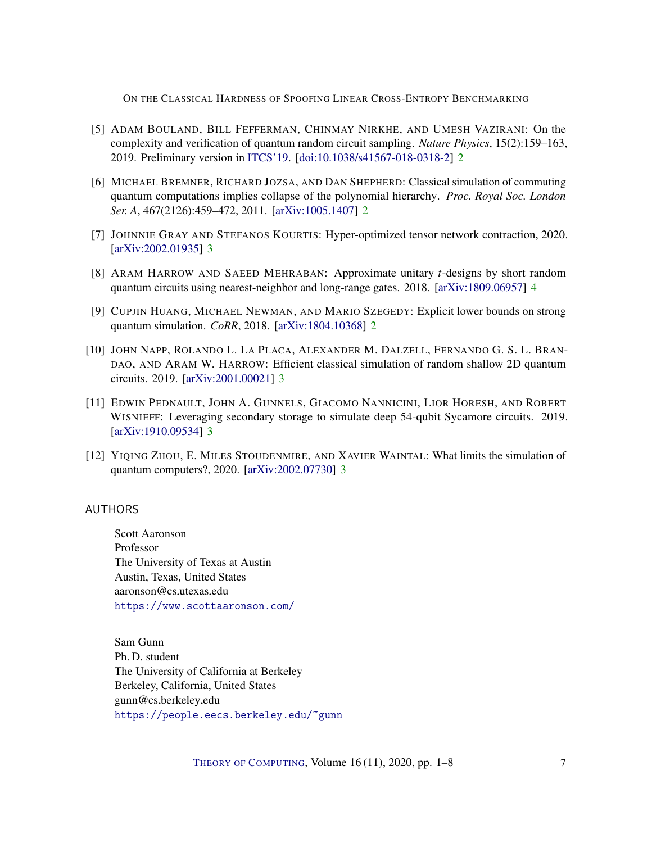ON THE CLASSICAL HARDNESS OF SPOOFING LINEAR CROSS-ENTROPY BENCHMARKING

- <span id="page-6-2"></span>[5] ADAM BOULAND, BILL FEFFERMAN, CHINMAY NIRKHE, AND UMESH VAZIRANI: On the complexity and verification of quantum random circuit sampling. *Nature Physics*, 15(2):159–163, 2019. Preliminary version in [ITCS'19.](https://doi.org/10.4230/LIPIcs.ITCS.2019.15) [\[doi:10.1038/s41567-018-0318-2\]](http://dx.doi.org/10.1038/s41567-018-0318-2) [2](#page-1-0)
- <span id="page-6-3"></span>[6] MICHAEL BREMNER, RICHARD JOZSA, AND DAN SHEPHERD: Classical simulation of commuting quantum computations implies collapse of the polynomial hierarchy. *Proc. Royal Soc. London Ser. A*, 467(2126):459–472, 2011. [\[arXiv:1005.1407\]](http://arxiv.org/abs/1005.1407) [2](#page-1-0)
- <span id="page-6-5"></span>[7] JOHNNIE GRAY AND STEFANOS KOURTIS: Hyper-optimized tensor network contraction, 2020. [\[arXiv:2002.01935\]](http://arxiv.org/abs/2002.01935) [3](#page-2-0)
- <span id="page-6-9"></span>[8] ARAM HARROW AND SAEED MEHRABAN: Approximate unitary *t*-designs by short random quantum circuits using nearest-neighbor and long-range gates. 2018. [\[arXiv:1809.06957\]](http://arxiv.org/abs/1809.06957) [4](#page-3-0)
- <span id="page-6-4"></span>[9] CUPJIN HUANG, MICHAEL NEWMAN, AND MARIO SZEGEDY: Explicit lower bounds on strong quantum simulation. *CoRR*, 2018. [\[arXiv:1804.10368\]](http://arxiv.org/abs/1804.10368) [2](#page-1-0)
- <span id="page-6-7"></span>[10] JOHN NAPP, ROLANDO L. LA PLACA, ALEXANDER M. DALZELL, FERNANDO G. S. L. BRAN-DAO, AND ARAM W. HARROW: Efficient classical simulation of random shallow 2D quantum circuits. 2019. [\[arXiv:2001.00021\]](http://arxiv.org/abs/2001.00021) [3](#page-2-0)
- <span id="page-6-6"></span>[11] EDWIN PEDNAULT, JOHN A. GUNNELS, GIACOMO NANNICINI, LIOR HORESH, AND ROBERT WISNIEFF: Leveraging secondary storage to simulate deep 54-qubit Sycamore circuits. 2019. [\[arXiv:1910.09534\]](http://arxiv.org/abs/1910.09534) [3](#page-2-0)
- <span id="page-6-8"></span>[12] YIQING ZHOU, E. MILES STOUDENMIRE, AND XAVIER WAINTAL: What limits the simulation of quantum computers?, 2020. [\[arXiv:2002.07730\]](http://arxiv.org/abs/2002.07730) [3](#page-2-0)

## <span id="page-6-0"></span>AUTHORS

Scott Aaronson Professor The University of Texas at Austin Austin, Texas, United States aaronson@cs.utexas.edu <https://www.scottaaronson.com/>

<span id="page-6-1"></span>Sam Gunn Ph. D. student The University of California at Berkeley Berkeley, California, United States gunn@cs.berkeley.edu <https://people.eecs.berkeley.edu/~gunn>

THEORY OF C[OMPUTING](http://dx.doi.org/10.4086/toc), Volume  $16(11)$ , 2020, pp.  $1-8$  7